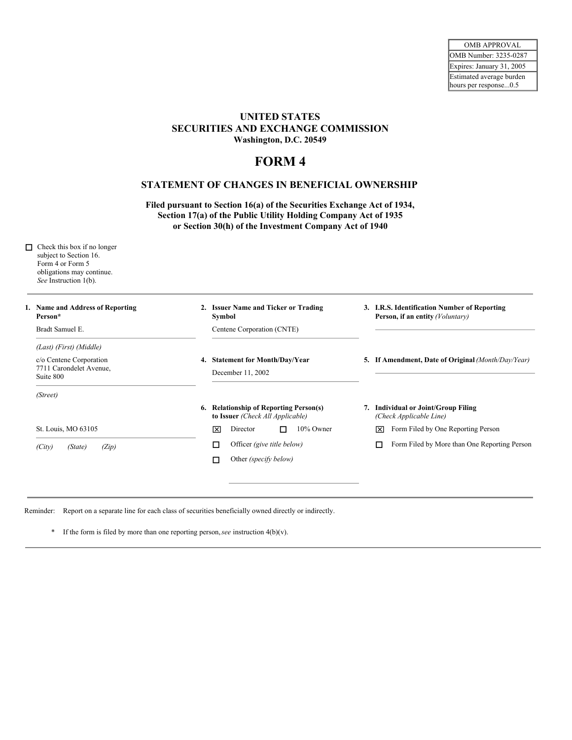## **UNITED STATES SECURITIES AND EXCHANGE COMMISSION Washington, D.C. 20549**

## **FORM 4**

## **STATEMENT OF CHANGES IN BENEFICIAL OWNERSHIP**

**Filed pursuant to Section 16(a) of the Securities Exchange Act of 1934, Section 17(a) of the Public Utility Holding Company Act of 1935 or Section 30(h) of the Investment Company Act of 1940**

| п. | Check this box if no longer<br>subject to Section 16.<br>Form 4 or Form 5<br>obligations may continue.<br>See Instruction 1(b). |                                                                            |                                                                                  |  |  |  |
|----|---------------------------------------------------------------------------------------------------------------------------------|----------------------------------------------------------------------------|----------------------------------------------------------------------------------|--|--|--|
|    | 1. Name and Address of Reporting<br>Person*                                                                                     | 2. Issuer Name and Ticker or Trading<br>Symbol                             | 3. I.R.S. Identification Number of Reporting<br>Person, if an entity (Voluntary) |  |  |  |
|    | Bradt Samuel E.                                                                                                                 | Centene Corporation (CNTE)                                                 |                                                                                  |  |  |  |
|    | (Last) (First) (Middle)                                                                                                         |                                                                            |                                                                                  |  |  |  |
|    | c/o Centene Corporation<br>7711 Carondelet Avenue,<br>Suite 800                                                                 | 4. Statement for Month/Day/Year<br>December 11, 2002                       | 5. If Amendment, Date of Original (Month/Day/Year)                               |  |  |  |
|    | (Street)                                                                                                                        |                                                                            |                                                                                  |  |  |  |
|    |                                                                                                                                 | 6. Relationship of Reporting Person(s)<br>to Issuer (Check All Applicable) | 7. Individual or Joint/Group Filing<br>(Check Applicable Line)                   |  |  |  |
|    | St. Louis, MO 63105                                                                                                             | 10% Owner<br>Director<br>冈<br>П                                            | Form Filed by One Reporting Person<br>冈                                          |  |  |  |
|    | (Zip)<br>(City)<br>(State)                                                                                                      | Officer (give title below)<br>п                                            | Form Filed by More than One Reporting Person                                     |  |  |  |
|    |                                                                                                                                 | Other (specify below)<br>□                                                 |                                                                                  |  |  |  |
|    |                                                                                                                                 |                                                                            |                                                                                  |  |  |  |

Reminder: Report on a separate line for each class of securities beneficially owned directly or indirectly.

\* If the form is filed by more than one reporting person,*see* instruction 4(b)(v).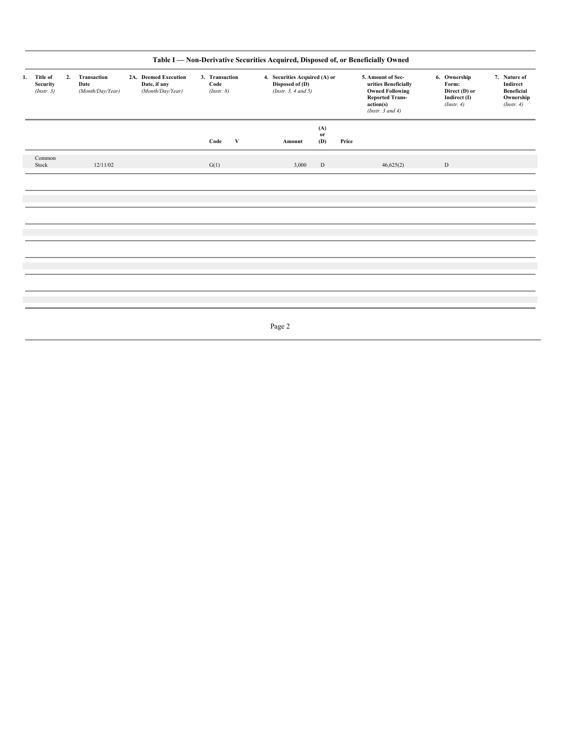| Title of<br>1.<br>Security<br>(Insert. 3) |                 | 2. | Transaction<br>Date<br>(Month/Day/Year) | 2A. Deemed Execution<br>Date, if any<br>(Month/Day/Year) | 3. Transaction<br>Code<br>(Instr. 8) |              | 4. Securities Acquired (A) or<br>Disposed of (D)<br>(Instr. $3, 4$ and $5$ ) |                  |       | 5. Amount of Sec-<br>urities Beneficially<br><b>Owned Following</b><br><b>Reported Trans-</b><br>action(s)<br>(Instr. $3$ and $4$ ) | 6. Ownership<br>Form:<br>Direct (D) or<br>Indirect (I)<br>(Instr. 4) |  | 7. Nature of<br>Indirect<br>Beneficial<br>Ownership<br>(Instr. 4) |
|-------------------------------------------|-----------------|----|-----------------------------------------|----------------------------------------------------------|--------------------------------------|--------------|------------------------------------------------------------------------------|------------------|-------|-------------------------------------------------------------------------------------------------------------------------------------|----------------------------------------------------------------------|--|-------------------------------------------------------------------|
|                                           |                 |    |                                         |                                                          | Code                                 | $\mathbf{V}$ | Amount                                                                       | (A)<br>or<br>(D) | Price |                                                                                                                                     |                                                                      |  |                                                                   |
|                                           | Common<br>Stock |    | 12/11/02                                |                                                          | G(1)                                 |              | 3,000                                                                        | $\,$ D           |       | 46,625(2)                                                                                                                           | $\mathbf D$                                                          |  |                                                                   |
|                                           |                 |    |                                         |                                                          |                                      |              |                                                                              |                  |       |                                                                                                                                     |                                                                      |  |                                                                   |
|                                           |                 |    |                                         |                                                          |                                      |              |                                                                              |                  |       |                                                                                                                                     |                                                                      |  |                                                                   |
|                                           |                 |    |                                         |                                                          |                                      |              |                                                                              |                  |       |                                                                                                                                     |                                                                      |  |                                                                   |
|                                           |                 |    |                                         |                                                          |                                      |              |                                                                              |                  |       |                                                                                                                                     |                                                                      |  |                                                                   |
|                                           |                 |    |                                         |                                                          |                                      |              | Page 2                                                                       |                  |       |                                                                                                                                     |                                                                      |  |                                                                   |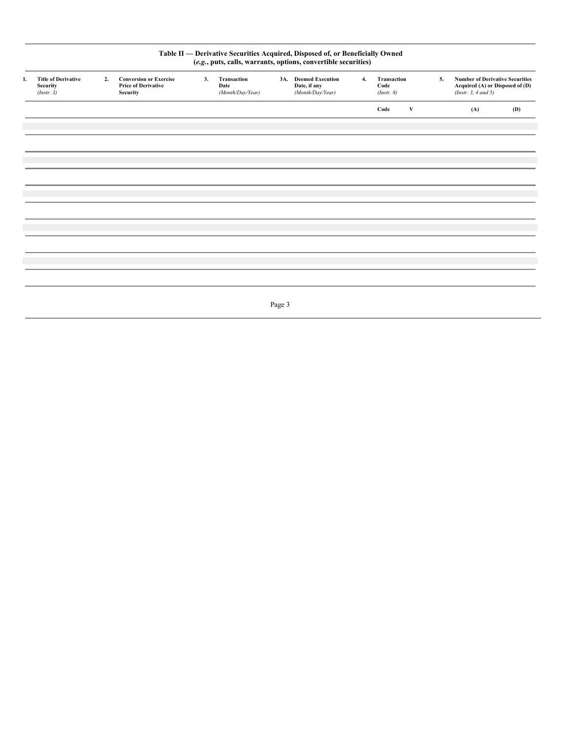| Table II - Derivative Securities Acquired, Disposed of, or Beneficially Owned<br>(e.g., puts, calls, warrants, options, convertible securities) |                                                              |    |                                                                                |    |                                         |        |                                                          |    |                                   |   |    |                                                                                                   |     |
|-------------------------------------------------------------------------------------------------------------------------------------------------|--------------------------------------------------------------|----|--------------------------------------------------------------------------------|----|-----------------------------------------|--------|----------------------------------------------------------|----|-----------------------------------|---|----|---------------------------------------------------------------------------------------------------|-----|
| 1.                                                                                                                                              | <b>Title of Derivative</b><br><b>Security</b><br>(Insert. 3) | 2. | <b>Conversion or Exercise</b><br><b>Price of Derivative</b><br><b>Security</b> | 3. | Transaction<br>Date<br>(Month/Day/Year) |        | 3A. Deemed Execution<br>Date, if any<br>(Month/Day/Year) | 4. | Transaction<br>Code<br>(Instr. 8) |   | 5. | <b>Number of Derivative Securities</b><br>Acquired (A) or Disposed of (D)<br>(Insert. 3, 4 and 5) |     |
|                                                                                                                                                 |                                                              |    |                                                                                |    |                                         |        |                                                          |    | Code                              | V |    | (A)                                                                                               | (D) |
|                                                                                                                                                 |                                                              |    |                                                                                |    |                                         |        |                                                          |    |                                   |   |    |                                                                                                   |     |
|                                                                                                                                                 |                                                              |    |                                                                                |    |                                         |        |                                                          |    |                                   |   |    |                                                                                                   |     |
|                                                                                                                                                 |                                                              |    |                                                                                |    |                                         |        |                                                          |    |                                   |   |    |                                                                                                   |     |
|                                                                                                                                                 |                                                              |    |                                                                                |    |                                         |        |                                                          |    |                                   |   |    |                                                                                                   |     |
|                                                                                                                                                 |                                                              |    |                                                                                |    |                                         |        |                                                          |    |                                   |   |    |                                                                                                   |     |
|                                                                                                                                                 |                                                              |    |                                                                                |    |                                         |        |                                                          |    |                                   |   |    |                                                                                                   |     |
|                                                                                                                                                 |                                                              |    |                                                                                |    |                                         |        |                                                          |    |                                   |   |    |                                                                                                   |     |
|                                                                                                                                                 |                                                              |    |                                                                                |    |                                         | Page 3 |                                                          |    |                                   |   |    |                                                                                                   |     |